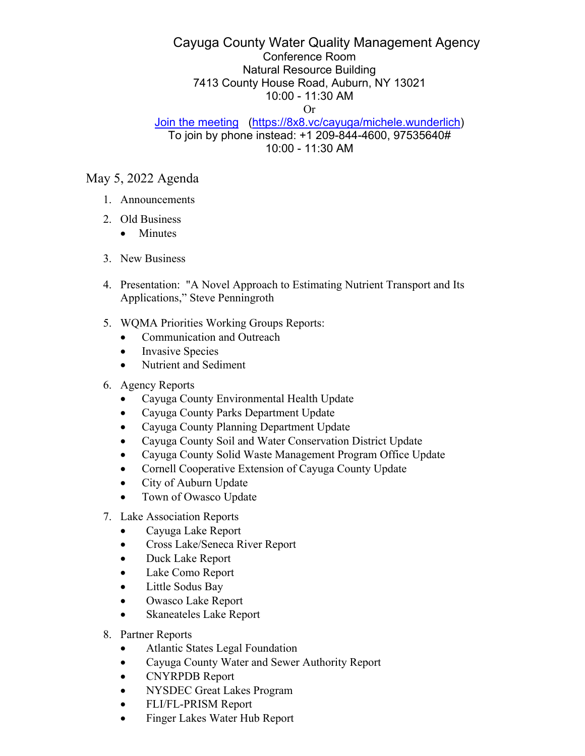## Cayuga County Water Quality Management Agency Conference Room Natural Resource Building 7413 County House Road, Auburn, NY 13021 10:00 - 11:30 AM Or

## Join the meeting (https://8x8.vc/cayuga/michele.wunderlich) To join by phone instead: +1 209-844-4600, 97535640# 10:00 - 11:30 AM

## May 5, 2022 Agenda

- 1. Announcements
- 2. Old Business
	- Minutes
- 3. New Business
- 4. Presentation: "A Novel Approach to Estimating Nutrient Transport and Its Applications," Steve Penningroth
- 5. WQMA Priorities Working Groups Reports:
	- Communication and Outreach
	- Invasive Species
	- Nutrient and Sediment
- 6. Agency Reports
	- Cayuga County Environmental Health Update
	- Cayuga County Parks Department Update
	- Cayuga County Planning Department Update
	- Cayuga County Soil and Water Conservation District Update
	- Cayuga County Solid Waste Management Program Office Update
	- Cornell Cooperative Extension of Cayuga County Update
	- City of Auburn Update
	- Town of Owasco Update
- 7. Lake Association Reports
	- Cayuga Lake Report
	- Cross Lake/Seneca River Report
	- Duck Lake Report
	- Lake Como Report
	- Little Sodus Bay
	- Owasco Lake Report
	- Skaneateles Lake Report
- 8. Partner Reports
	- Atlantic States Legal Foundation
	- Cayuga County Water and Sewer Authority Report
	- CNYRPDB Report
	- NYSDEC Great Lakes Program
	- FLI/FL-PRISM Report
	- Finger Lakes Water Hub Report